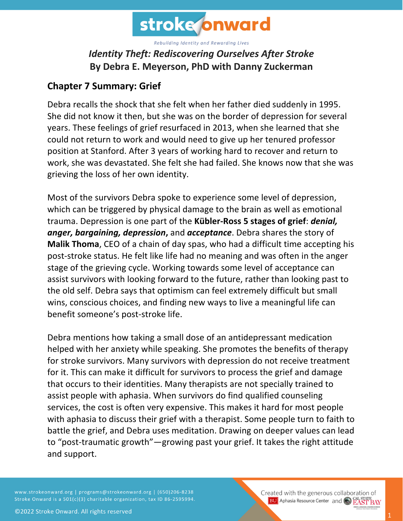

## *Identity Theft: Rediscovering Ourselves After Stroke* **By Debra E. Meyerson, PhD with Danny Zuckerman**

## **Chapter 7 Summary: Grief**

Debra recalls the shock that she felt when her father died suddenly in 1995. She did not know it then, but she was on the border of depression for several years. These feelings of grief resurfaced in 2013, when she learned that she could not return to work and would need to give up her tenured professor position at Stanford. After 3 years of working hard to recover and return to work, she was devastated. She felt she had failed. She knows now that she was grieving the loss of her own identity.

Most of the survivors Debra spoke to experience some level of depression, which can be triggered by physical damage to the brain as well as emotional trauma. Depression is one part of the **Kübler-Ross 5 stages of grief**: *denial, anger, bargaining, depression***,** and *acceptance*. Debra shares the story of **Malik Thoma**, CEO of a chain of day spas, who had a difficult time accepting his post-stroke status. He felt like life had no meaning and was often in the anger stage of the grieving cycle. Working towards some level of acceptance can assist survivors with looking forward to the future, rather than looking past to the old self. Debra says that optimism can feel extremely difficult but small wins, conscious choices, and finding new ways to live a meaningful life can benefit someone's post-stroke life.

Debra mentions how taking a small dose of an antidepressant medication helped with her anxiety while speaking. She promotes the benefits of therapy for stroke survivors. Many survivors with depression do not receive treatment for it. This can make it difficult for survivors to process the grief and damage that occurs to their identities. Many therapists are not specially trained to assist people with aphasia. When survivors do find qualified counseling services, the cost is often very expensive. This makes it hard for most people with aphasia to discuss their grief with a therapist. Some people turn to faith to battle the grief, and Debra uses meditation. Drawing on deeper values can lead to "post-traumatic growth"—growing past your grief. It takes the right attitude and support.

www.strokeonward.org | programs@strokeonward.org | (650)206-8238 Stroke Onward is a 501(c)(3) charitable organization, tax ID 86-2595994. Created with the generous collaboration of **BU** Aphasia Resource Center and **COL STATE BAY**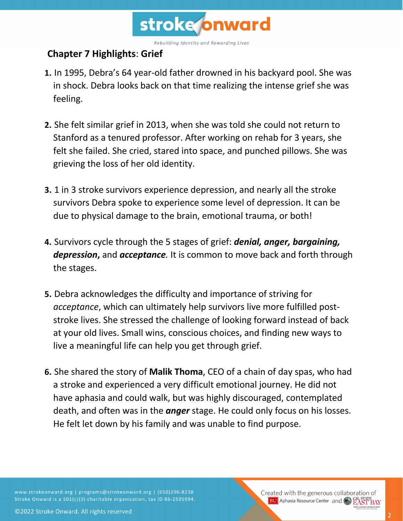

## **Chapter 7 Highlights**: **Grief**

- **1.** In 1995, Debra's 64 year-old father drowned in his backyard pool. She was in shock. Debra looks back on that time realizing the intense grief she was feeling.
- **2.** She felt similar grief in 2013, when she was told she could not return to Stanford as a tenured professor. After working on rehab for 3 years, she felt she failed. She cried, stared into space, and punched pillows. She was grieving the loss of her old identity.
- **3.** 1 in 3 stroke survivors experience depression, and nearly all the stroke survivors Debra spoke to experience some level of depression. It can be due to physical damage to the brain, emotional trauma, or both!
- **4.** Survivors cycle through the 5 stages of grief: *denial, anger, bargaining, depression***,** and *acceptance.* It is common to move back and forth through the stages.
- **5.** Debra acknowledges the difficulty and importance of striving for *acceptance*, which can ultimately help survivors live more fulfilled poststroke lives. She stressed the challenge of looking forward instead of back at your old lives. Small wins, conscious choices, and finding new ways to live a meaningful life can help you get through grief.
- **6.** She shared the story of **Malik Thoma**, CEO of a chain of day spas, who had a stroke and experienced a very difficult emotional journey. He did not have aphasia and could walk, but was highly discouraged, contemplated death, and often was in the *anger* stage. He could only focus on his losses. He felt let down by his family and was unable to find purpose.

www.strokeonward.org | programs@strokeonward.org | (650)206-8238 Stroke Onward is a 501(c)(3) charitable organization, tax ID 86-2595994.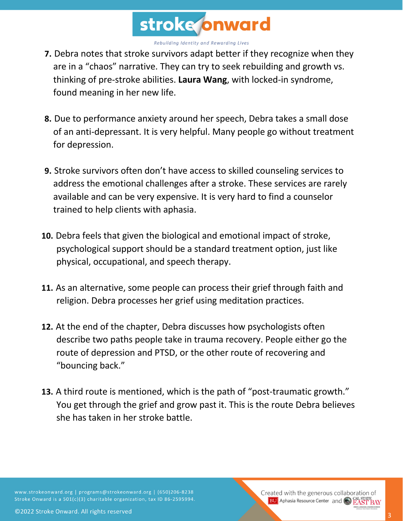

- **7.** Debra notes that stroke survivors adapt better if they recognize when they are in a "chaos" narrative. They can try to seek rebuilding and growth vs. thinking of pre-stroke abilities. **Laura Wang**, with locked-in syndrome, found meaning in her new life.
- **8.** Due to performance anxiety around her speech, Debra takes a small dose of an anti-depressant. It is very helpful. Many people go without treatment for depression.
- **9.** Stroke survivors often don't have access to skilled counseling services to address the emotional challenges after a stroke. These services are rarely available and can be very expensive. It is very hard to find a counselor trained to help clients with aphasia.
- **10.** Debra feels that given the biological and emotional impact of stroke, psychological support should be a standard treatment option, just like physical, occupational, and speech therapy.
- **11.** As an alternative, some people can process their grief through faith and religion. Debra processes her grief using meditation practices.
- **12.** At the end of the chapter, Debra discusses how psychologists often describe two paths people take in trauma recovery. People either go the route of depression and PTSD, or the other route of recovering and "bouncing back."
- **13.** A third route is mentioned, which is the path of "post-traumatic growth." You get through the grief and grow past it. This is the route Debra believes she has taken in her stroke battle.

www.strokeonward.org | programs@strokeonward.org | (650)206-8238 Stroke Onward is a 501(c)(3) charitable organization, tax ID 86-2595994. Created with the generous collaboration of **BU** Aphasia Resource Center and **CAL STATE**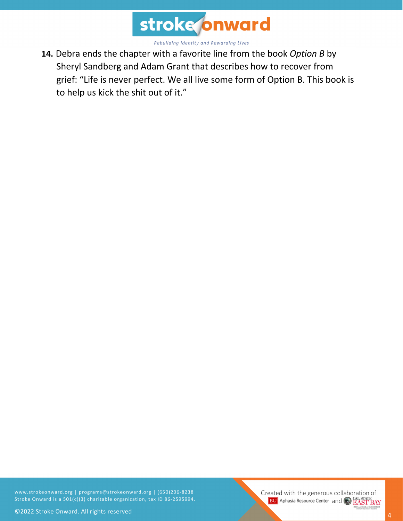

**14.** Debra ends the chapter with a favorite line from the book *Option B* by Sheryl Sandberg and Adam Grant that describes how to recover from grief: "Life is never perfect. We all live some form of Option B. This book is to help us kick the shit out of it."

www.strokeonward.org | programs@strokeonward.org | (650)206-8238 Stroke Onward is a 501(c)(3) charitable organization, tax ID 86-2595994. Created with the generous collaboration of **BU** Aphasia Resource Center and **CAL STATE**<br>**BU** Aphasia Resource Center and **CAL STATE**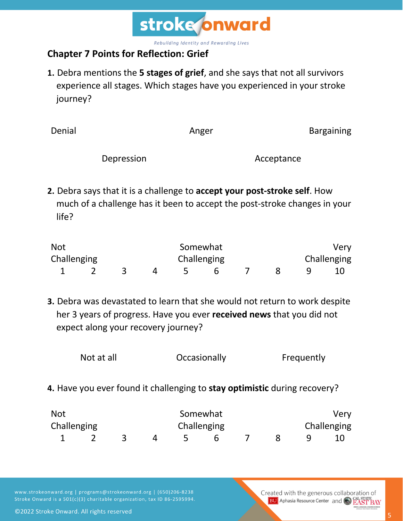

## **Chapter 7 Points for Reflection: Grief**

**1.** Debra mentions the **5 stages of grief**, and she says that not all survivors experience all stages. Which stages have you experienced in your stroke journey?

| Denial |            | Anger |            | <b>Bargaining</b> |
|--------|------------|-------|------------|-------------------|
|        | Depression |       | Acceptance |                   |

**2.** Debra says that it is a challenge to **accept your post-stroke self**. How much of a challenge has it been to accept the post-stroke changes in your life?

| <b>Not</b>  |  |  | Somewhat    |  | Very        |
|-------------|--|--|-------------|--|-------------|
| Challenging |  |  | Challenging |  | Challenging |
|             |  |  |             |  |             |

**3.** Debra was devastated to learn that she would not return to work despite her 3 years of progress. Have you ever **received news** that you did not expect along your recovery journey?

| Not at all | Occasionally | Frequently |
|------------|--------------|------------|
|------------|--------------|------------|

**4.** Have you ever found it challenging to **stay optimistic** during recovery?

| <b>Not</b>  |  |  | Somewhat    |  | Very        |
|-------------|--|--|-------------|--|-------------|
| Challenging |  |  | Challenging |  | Challenging |
|             |  |  |             |  |             |

www.strokeonward.org | programs@strokeonward.org | (650)206-8238 Stroke Onward is a 501(c)(3) charitable organization, tax ID 86-2595994. Created with the generous collaboration of **BU** Aphasia Resource Center and CAL STATE BAY